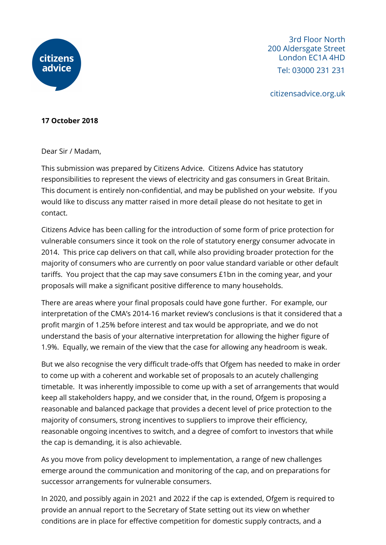

3rd Floor North 200 Aldersgate Street London EC1A 4HD Tel: 03000 231 231

citizensadvice.org.uk

## **17 October 2018**

Dear Sir / Madam,

This submission was prepared by Citizens Advice. Citizens Advice has statutory responsibilities to represent the views of electricity and gas consumers in Great Britain. This document is entirely non-confidential, and may be published on your website. If you would like to discuss any matter raised in more detail please do not hesitate to get in contact.

Citizens Advice has been calling for the introduction of some form of price protection for vulnerable consumers since it took on the role of statutory energy consumer advocate in 2014. This price cap delivers on that call, while also providing broader protection for the majority of consumers who are currently on poor value standard variable or other default tariffs. You project that the cap may save consumers £1bn in the coming year, and your proposals will make a significant positive difference to many households.

There are areas where your final proposals could have gone further. For example, our interpretation of the CMA's 2014-16 market review's conclusions is that it considered that a profit margin of 1.25% before interest and tax would be appropriate, and we do not understand the basis of your alternative interpretation for allowing the higher figure of 1.9%. Equally, we remain of the view that the case for allowing any headroom is weak.

But we also recognise the very difficult trade-offs that Ofgem has needed to make in order to come up with a coherent and workable set of proposals to an acutely challenging timetable. It was inherently impossible to come up with a set of arrangements that would keep all stakeholders happy, and we consider that, in the round, Ofgem is proposing a reasonable and balanced package that provides a decent level of price protection to the majority of consumers, strong incentives to suppliers to improve their efficiency, reasonable ongoing incentives to switch, and a degree of comfort to investors that while the cap is demanding, it is also achievable.

As you move from policy development to implementation, a range of new challenges emerge around the communication and monitoring of the cap, and on preparations for successor arrangements for vulnerable consumers.

In 2020, and possibly again in 2021 and 2022 if the cap is extended, Ofgem is required to provide an annual report to the Secretary of State setting out its view on whether conditions are in place for effective competition for domestic supply contracts, and a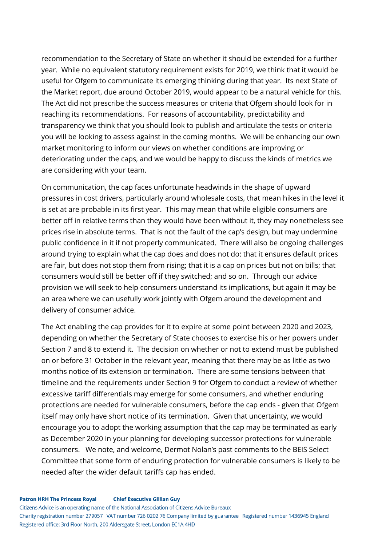recommendation to the Secretary of State on whether it should be extended for a further year. While no equivalent statutory requirement exists for 2019, we think that it would be useful for Ofgem to communicate its emerging thinking during that year. Its next State of the Market report, due around October 2019, would appear to be a natural vehicle for this. The Act did not prescribe the success measures or criteria that Ofgem should look for in reaching its recommendations. For reasons of accountability, predictability and transparency we think that you should look to publish and articulate the tests or criteria you will be looking to assess against in the coming months. We will be enhancing our own market monitoring to inform our views on whether conditions are improving or deteriorating under the caps, and we would be happy to discuss the kinds of metrics we are considering with your team.

On communication, the cap faces unfortunate headwinds in the shape of upward pressures in cost drivers, particularly around wholesale costs, that mean hikes in the level it is set at are probable in its first year. This may mean that while eligible consumers are better off in relative terms than they would have been without it, they may nonetheless see prices rise in absolute terms. That is not the fault of the cap's design, but may undermine public confidence in it if not properly communicated. There will also be ongoing challenges around trying to explain what the cap does and does not do: that it ensures default prices are fair, but does not stop them from rising; that it is a cap on prices but not on bills; that consumers would still be better off if they switched; and so on. Through our advice provision we will seek to help consumers understand its implications, but again it may be an area where we can usefully work jointly with Ofgem around the development and delivery of consumer advice.

The Act enabling the cap provides for it to expire at some point between 2020 and 2023, depending on whether the Secretary of State chooses to exercise his or her powers under Section 7 and 8 to extend it. The decision on whether or not to extend must be published on or before 31 October in the relevant year, meaning that there may be as little as two months notice of its extension or termination. There are some tensions between that timeline and the requirements under Section 9 for Ofgem to conduct a review of whether excessive tariff differentials may emerge for some consumers, and whether enduring protections are needed for vulnerable consumers, before the cap ends - given that Ofgem itself may only have short notice of its termination. Given that uncertainty, we would encourage you to adopt the working assumption that the cap may be terminated as early as December 2020 in your planning for developing successor protections for vulnerable consumers. We note, and welcome, Dermot Nolan's past comments to the BEIS Select Committee that some form of enduring protection for vulnerable consumers is likely to be needed after the wider default tariffs cap has ended.